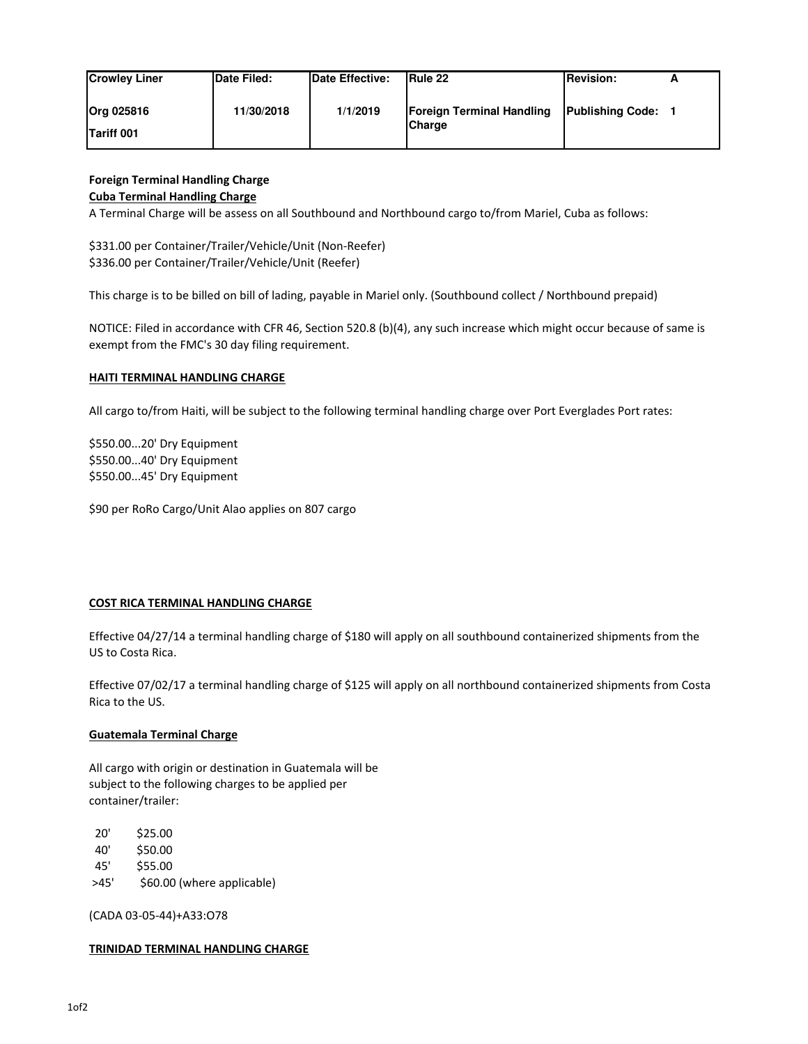| <b>Crowley Liner</b>                   | <b>Date Filed:</b> | <b>IDate Effective:</b> | <b>IRule 22</b>                                   | <b>Revision:</b>        | <u>_</u> |
|----------------------------------------|--------------------|-------------------------|---------------------------------------------------|-------------------------|----------|
| <b>Org 025816</b><br><b>Tariff 001</b> | 11/30/2018         | 1/1/2019                | <b>Foreign Terminal Handling</b><br><b>Charge</b> | <b>Publishing Code:</b> |          |

# **Foreign Terminal Handling Charge**

### **Cuba Terminal Handling Charge**

A Terminal Charge will be assess on all Southbound and Northbound cargo to/from Mariel, Cuba as follows:

\$331.00 per Container/Trailer/Vehicle/Unit (Non-Reefer) \$336.00 per Container/Trailer/Vehicle/Unit (Reefer)

This charge is to be billed on bill of lading, payable in Mariel only. (Southbound collect / Northbound prepaid)

NOTICE: Filed in accordance with CFR 46, Section 520.8 (b)(4), any such increase which might occur because of same is exempt from the FMC's 30 day filing requirement.

#### **HAITI TERMINAL HANDLING CHARGE**

All cargo to/from Haiti, will be subject to the following terminal handling charge over Port Everglades Port rates:

\$550.00...20' Dry Equipment \$550.00...40' Dry Equipment \$550.00...45' Dry Equipment

\$90 per RoRo Cargo/Unit Alao applies on 807 cargo

## **COST RICA TERMINAL HANDLING CHARGE**

Effective 04/27/14 a terminal handling charge of \$180 will apply on all southbound containerized shipments from the US to Costa Rica.

Effective 07/02/17 a terminal handling charge of \$125 will apply on all northbound containerized shipments from Costa Rica to the US.

## **Guatemala Terminal Charge**

All cargo with origin or destination in Guatemala will be subject to the following charges to be applied per container/trailer:

20' \$25.00

40' \$50.00

- 45' \$55.00
- >45' \$60.00 (where applicable)

(CADA 03-05-44)+A33:O78

#### **TRINIDAD TERMINAL HANDLING CHARGE**